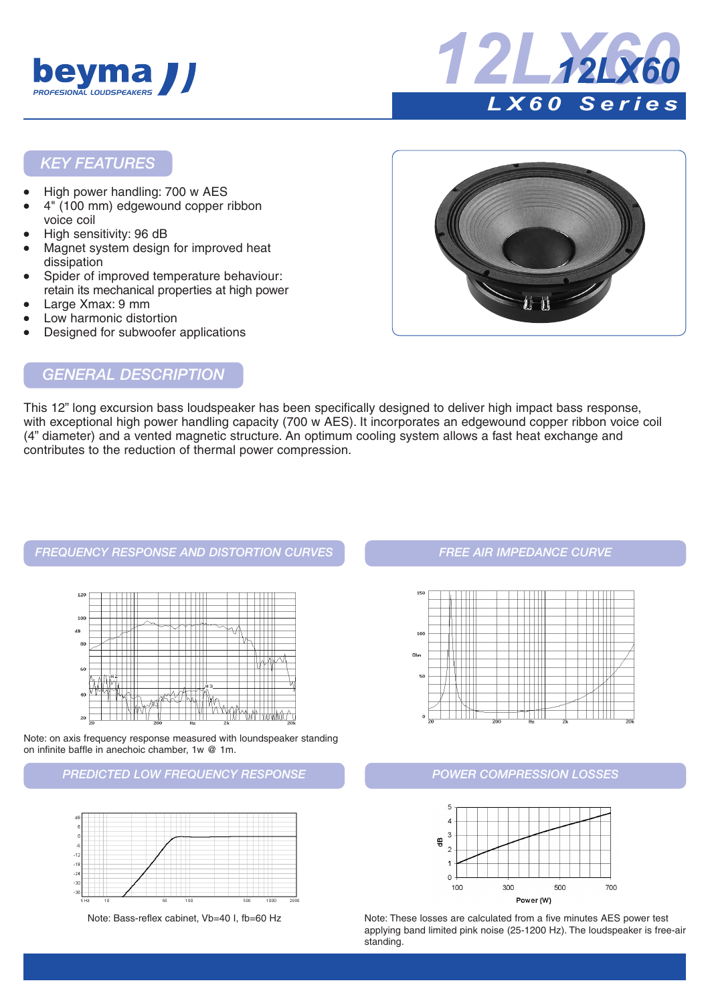



#### *KEY FEATURES*

- High power handling: 700 w AES
- 4" (100 mm) edgewound copper ribbon voice coil
- High sensitivity: 96 dB
- Magnet system design for improved heat dissipation
- Spider of improved temperature behaviour: retain its mechanical properties at high power
- Large Xmax: 9 mm
- Low harmonic distortion
- Designed for subwoofer applications



# *GENERAL DESCRIPTION*

This 12" long excursion bass loudspeaker has been specifically designed to deliver high impact bass response, with exceptional high power handling capacity (700 w AES). It incorporates an edgewound copper ribbon voice coil (4" diameter) and a vented magnetic structure. An optimum cooling system allows a fast heat exchange and contributes to the reduction of thermal power compression.

#### *FREQUENCY RESPONSE AND DISTORTION CURVES FREE AIR IMPEDANCE CURVE*



Note: on axis frequency response measured with loundspeaker standing on infinite baffle in anechoic chamber, 1w @ 1m.

#### *PREDICTED LOW FREQUENCY RESPONSE POWER COMPRESSION LOSSES*







Note: Bass-reflex cabinet, Vb=40 I, fb=60 Hz Note: These losses are calculated from a five minutes AES power test applying band limited pink noise (25-1200 Hz). The loudspeaker is free-air standing.